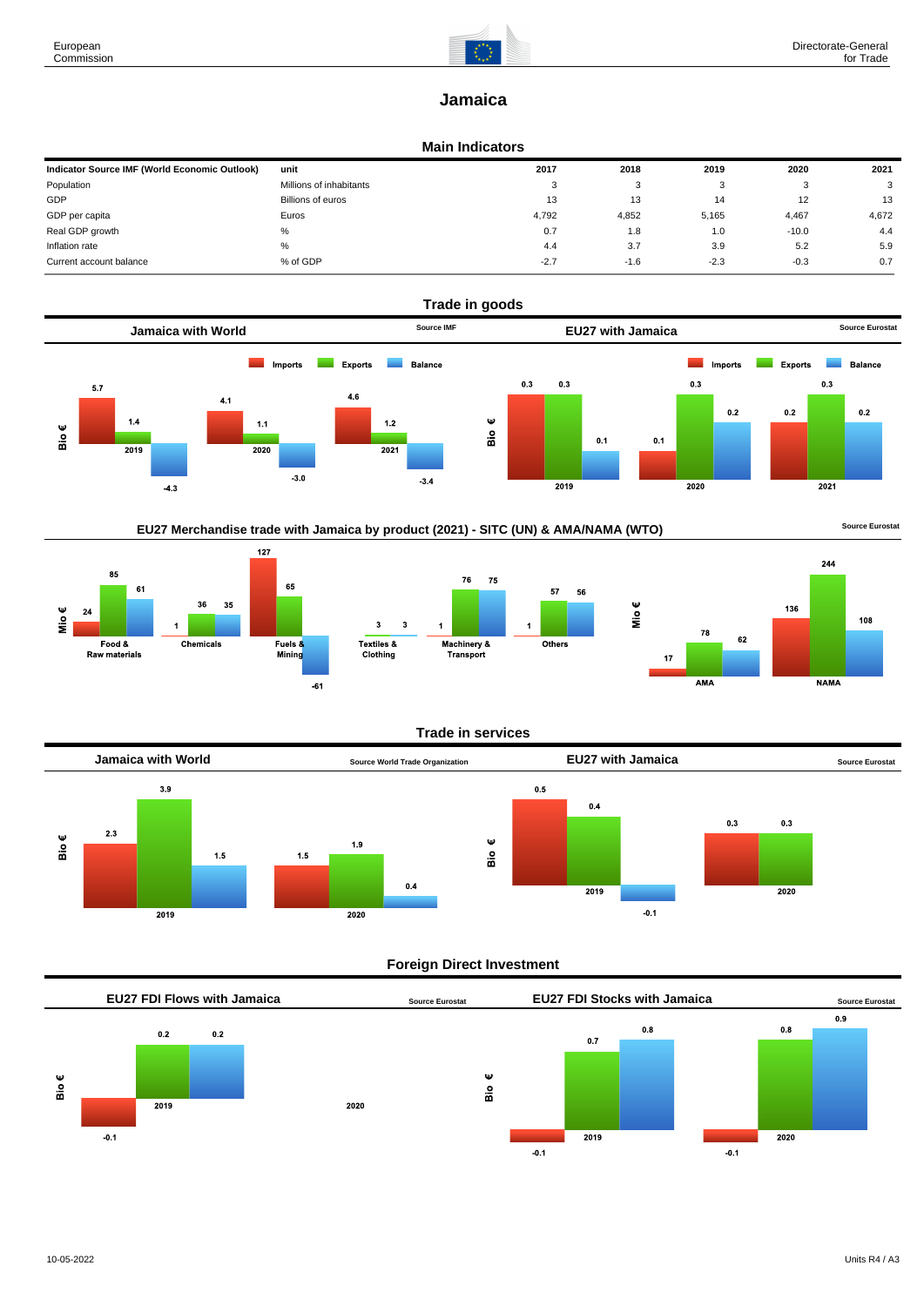

# **Jamaica**

#### **Main Indicators**

| Indicator Source IMF (World Economic Outlook) | unit                    | 2017   | 2018   | 2019   | 2020    | 2021  |
|-----------------------------------------------|-------------------------|--------|--------|--------|---------|-------|
| Population                                    | Millions of inhabitants | 3      | ົ<br>ີ |        |         | 3     |
| GDP                                           | Billions of euros       | 13     | 13     | 14     | 12      | 13    |
| GDP per capita                                | Euros                   | 4,792  | 4,852  | 5,165  | 4,467   | 4,672 |
| Real GDP growth                               | %                       | 0.7    | 1.8    | 1.0    | $-10.0$ | 4.4   |
| Inflation rate                                | $\%$                    | 4.4    | 3.7    | 3.9    | 5.2     | 5.9   |
| Current account balance                       | % of GDP                | $-2.7$ | $-1.6$ | $-2.3$ | $-0.3$  | 0.7   |



## EU27 Merchandise trade with Jamaica by product (2021) - SITC (UN) & AMA/NAMA (WTO) **Source Eurostat**







#### **Trade in services**



#### **Foreign Direct Investment**